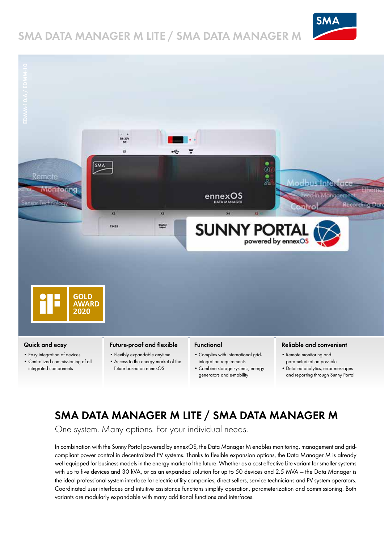## **SMA DATA MANAGER M LITE / SMA DATA MANAGER M**





- Easy integration of devices
- Centralized commissioning of all integrated components
- Flexibly expandable anytime • Access to the energy market of the
- future based on ennexOS
- Complies with international gridintegration requirements
- Combine storage systems, energy generators and e-mobility
- Remote monitoring and parameterization possible
- Detailed analytics, error messages and reporting through Sunny Portal

# **SMA DATA MANAGER M LITE / SMA DATA MANAGER M**

One system. Many options. For your individual needs.

In combination with the Sunny Portal powered by ennexOS, the Data Manager M enables monitoring, management and gridcompliant power control in decentralized PV systems. Thanks to flexible expansion options, the Data Manager M is already well-equipped for business models in the energy market of the future. Whether as a cost-effective Lite variant for smaller systems with up to five devices and 30 kVA, or as an expanded solution for up to 50 devices and 2.5 MVA — the Data Manager is the ideal professional system interface for electric utility companies, direct sellers, service technicians and PV system operators. Coordinated user interfaces and intuitive assistance functions simplify operation, parameterization and commissioning. Both variants are modularly expandable with many additional functions and interfaces.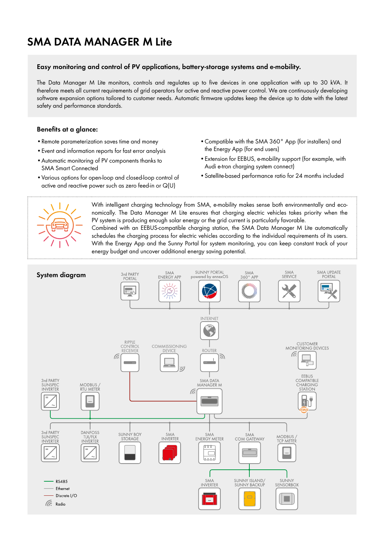### **SMA DATA MANAGER M Lite**

#### **Easy monitoring and control of PV applications, battery-storage systems and e-mobility.**

The Data Manager M Lite monitors, controls and regulates up to five devices in one application with up to 30 kVA. It therefore meets all current requirements of grid operators for active and reactive power control. We are continuously developing software expansion options tailored to customer needs. Automatic firmware updates keep the device up to date with the latest safety and performance standards.

#### **Benefits at a glance:**

- •Remote parameterization saves time and money
- •Event and information reports for fast error analysis
- •Automatic monitoring of PV components thanks to SMA Smart Connected
- •Various options for open-loop and closed-loop control of active and reactive power such as zero feed-in or Q(U)
- •Compatible with the SMA 360° App (for installers) and the Energy App (for end users)
- •Extension for EEBUS, e-mobility support (for example, with Audi e-tron charging system connect)
- •Satellite-based performance ratio for 24 months included



With intelligent charging technology from SMA, e-mobility makes sense both environmentally and economically. The Data Manager M Lite ensures that charging electric vehicles takes priority when the PV system is producing enough solar energy or the grid current is particularly favorable. Combined with an EEBUS-compatible charging station, the SMA Data Manager M Lite automatically schedules the charging process for electric vehicles according to the individual requirements of its users. With the Energy App and the Sunny Portal for system monitoring, you can keep constant track of your energy budget and uncover additional energy saving potential.

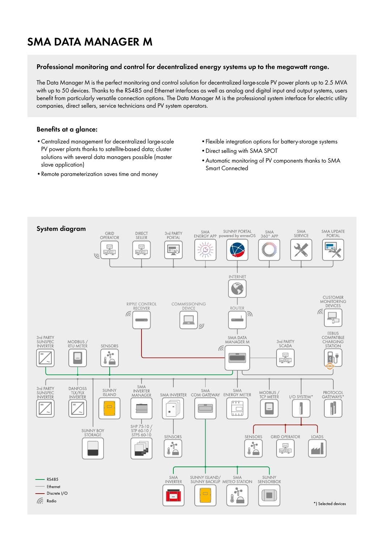### **SMA DATA MANAGER M**

#### **Professional monitoring and control for decentralized energy systems up to the megawatt range.**

The Data Manager M is the perfect monitoring and control solution for decentralized large-scale PV power plants up to 2.5 MVA with up to 50 devices. Thanks to the RS485 and Ethernet interfaces as well as analog and digital input and output systems, users benefit from particularly versatile connection options. The Data Manager M is the professional system interface for electric utility companies, direct sellers, service technicians and PV system operators.

#### **Benefits at a glance:**

- •Centralized management for decentralized large-scale PV power plants thanks to satellite-based data; cluster solutions with several data managers possible (master slave application)
- •Remote parameterization saves time and money
- •Flexible integration options for battery-storage systems
- •Direct selling with SMA SPOT
- •Automatic monitoring of PV components thanks to SMA Smart Connected

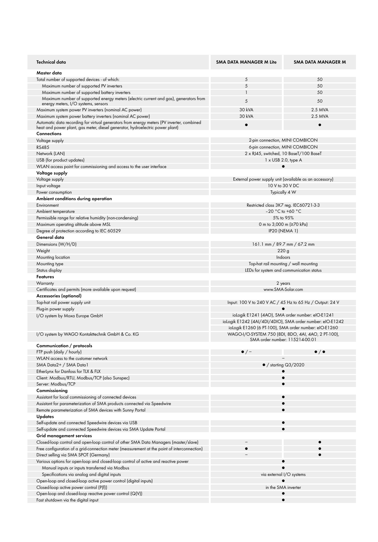| Technical data                                                                                                                       | <b>SMA DATA MANAGER M Lite</b>                               | <b>SMA DATA MANAGER M</b> |
|--------------------------------------------------------------------------------------------------------------------------------------|--------------------------------------------------------------|---------------------------|
| Master data                                                                                                                          |                                                              |                           |
| Total number of supported devices - of which:                                                                                        | 5                                                            | 50                        |
| Maximum number of supported PV inverters                                                                                             | 5                                                            | 50                        |
| Maximum number of supported battery inverters                                                                                        | $\mathbf{1}$                                                 | 50                        |
| Maximum number of supported energy meters (electric current and gas), generators from                                                | 5                                                            | 50                        |
| energy meters, I/O systems, sensors                                                                                                  | 30 kVA                                                       | 2.5 MVA                   |
| Maximum system power PV inverters (nominal AC power)<br>Maximum system power battery inverters (nominal AC power)                    | 30 kVA                                                       | 2.5 MVA                   |
| Automatic data recording for virtual generators from energy meters (PV inverter, combined                                            |                                                              |                           |
| heat and power plant, gas meter, diesel generator, hydroelectric power plant)                                                        | $\bullet$                                                    | $\bullet$                 |
| <b>Connections</b>                                                                                                                   |                                                              |                           |
| Voltage supply                                                                                                                       | 2-pin connection, MINI COMBICON                              |                           |
| <b>RS485</b>                                                                                                                         | 6-pin connection, MINI COMBICON                              |                           |
| Network (LAN)                                                                                                                        | 2 x RJ45, switched, 10 BaseT/100 BaseT                       |                           |
| USB (for product updates)                                                                                                            | $1 \times$ USB 2.0, type A                                   |                           |
| WLAN access point for commissioning and access to the user interface                                                                 | $\bullet$                                                    |                           |
| Voltage supply                                                                                                                       |                                                              |                           |
| Voltage supply                                                                                                                       | External power supply unit (available as an accessory)       |                           |
| Input voltage                                                                                                                        | 10 V to 30 V DC                                              |                           |
| Power consumption                                                                                                                    | Typically 4 W                                                |                           |
| Ambient conditions during operation                                                                                                  |                                                              |                           |
| Environment                                                                                                                          | Restricted class 3K7 reg. IEC60721-3-3<br>$-20$ °C to +60 °C |                           |
| Ambient temperature<br>Permissible range for relative humidity (non-condensing)                                                      | 5% to 95%                                                    |                           |
|                                                                                                                                      | 0 m to 3,000 m (≥70 kPa)                                     |                           |
| Maximum operating altitude above MSL<br>Degree of protection according to IEC 60529                                                  | <b>IP20 (NEMA 1)</b>                                         |                           |
| General data                                                                                                                         |                                                              |                           |
| Dimensions (W/H/D)                                                                                                                   | 161.1 mm / 89.7 mm / 67.2 mm                                 |                           |
| Weight                                                                                                                               | 220g                                                         |                           |
| Mounting location                                                                                                                    | Indoors                                                      |                           |
| Mounting type                                                                                                                        | Top-hat rail mounting / wall mounting                        |                           |
| Status display                                                                                                                       | LEDs for system and communication status                     |                           |
| <b>Features</b>                                                                                                                      |                                                              |                           |
| Warranty                                                                                                                             | 2 years                                                      |                           |
|                                                                                                                                      | www.SMA-Solar.com                                            |                           |
| Certificates and permits (more available upon request)                                                                               |                                                              |                           |
| Accessories (optional)                                                                                                               |                                                              |                           |
| Top-hat rail power supply unit                                                                                                       | Input: 100 V to 240 V AC / 45 Hz to 65 Hz / Output: 24 V     |                           |
| Plug-in power supply                                                                                                                 |                                                              |                           |
| I/O system by Moxa Europe GmbH                                                                                                       | iologik E1241 (4AO), SMA order number: eIO-E1241             |                           |
|                                                                                                                                      | iologik E1242 (4AI/4DI/4DIO), SMA order number: eIO-E1242    |                           |
|                                                                                                                                      | iologik E1260 (6 PT-100), SMA order number: eIO-E1260        |                           |
| I/O system by WAGO Kontakttechnik GmbH & Co. KG                                                                                      | WAGO-I/O-SYSTEM 750 (8DI, 8DO, 4AI, 4AO, 2 PT-100),          |                           |
|                                                                                                                                      | SMA order number: 115214-00.01                               |                           |
| Communication / protocols                                                                                                            | $\bullet$ / -                                                | $\bullet$ / $\bullet$     |
| FTP push (daily / hourly)<br>WLAN access to the customer network                                                                     |                                                              |                           |
| SMA Data2+ / SMA Data1                                                                                                               | $\bullet$ / starting $Q3/2020$                               |                           |
| Etherlynx for Danfoss for TLX & FLX                                                                                                  |                                                              |                           |
| Client: Modbus/RTU, Modbus/TCP (also Sunspec)                                                                                        |                                                              |                           |
| Server: Modbus/TCP                                                                                                                   |                                                              |                           |
| Commissioning                                                                                                                        |                                                              |                           |
| Assistant for local commissioning of connected devices                                                                               |                                                              |                           |
| Assistant for parameterization of SMA products connected via Speedwire                                                               |                                                              |                           |
| Remote parameterization of SMA devices with Sunny Portal                                                                             |                                                              |                           |
| <b>Updates</b>                                                                                                                       |                                                              |                           |
| Self-update and connected Speedwire devices via USB                                                                                  |                                                              |                           |
| Self-update and connected Speedwire devices via SMA Update Portal                                                                    |                                                              |                           |
| Grid management services                                                                                                             |                                                              |                           |
| Closed-loop control and open-loop control of other SMA Data Managers (master/slave)                                                  |                                                              |                           |
| Free configuration of a grid-connection meter (measurement at the point of interconnection)                                          |                                                              |                           |
| Direct selling via SMA SPOT (Germany)                                                                                                |                                                              |                           |
| Various options for open-loop and closed-loop control of active and reactive power<br>Manual inputs or inputs transferred via Modbus |                                                              |                           |
| Specifications via analog and digital inputs                                                                                         | via external I/O systems                                     |                           |
| Open-loop and closed-loop active power control (digital inputs)                                                                      |                                                              |                           |
| Closed-loop active power control (P(f))                                                                                              | in the SMA inverter                                          |                           |
| Open-loop and closed-loop reactive power control (Q(V))                                                                              |                                                              |                           |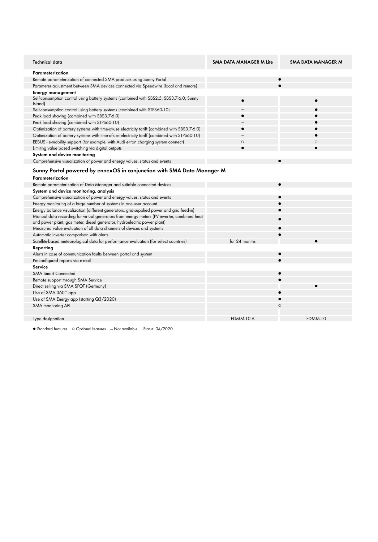| <b>Technical data</b>                                                                                                                                                   | <b>SMA DATA MANAGER M Lite</b> | SMA DATA MANAGER M |  |
|-------------------------------------------------------------------------------------------------------------------------------------------------------------------------|--------------------------------|--------------------|--|
| Parameterization                                                                                                                                                        |                                |                    |  |
| Remote parameterization of connected SMA products using Sunny Portal                                                                                                    |                                |                    |  |
| Parameter adjustment between SMA devices connected via Speedwire (local and remote)                                                                                     |                                |                    |  |
| <b>Energy management</b>                                                                                                                                                |                                |                    |  |
| Self-consumption control using battery systems (combined with SBS2.5, SBS3.7-6.0, Sunny<br>Island)                                                                      | $\bullet$                      |                    |  |
| Self-consumption control using battery systems (combined with STPS60-10)                                                                                                |                                |                    |  |
| Peak load shaving (combined with SBS3.7-6.0)                                                                                                                            |                                |                    |  |
| Peak load shaving (combined with STPS60-10)                                                                                                                             |                                |                    |  |
| Optimization of battery systems with time-of-use electricity tariff (combined with SBS3.7-6.0)                                                                          |                                |                    |  |
| Optimization of battery systems with time-of-use electricity tariff (combined with STPS60-10)                                                                           |                                |                    |  |
| EEBUS - e-mobility support (for example, with Audi e-tron charging system connect)                                                                                      | $\circ$                        | $\circ$            |  |
| Limiting value based switching via digital outputs                                                                                                                      |                                |                    |  |
| System and device monitoring                                                                                                                                            |                                |                    |  |
| Comprehensive visualization of power and energy values, status and events                                                                                               |                                |                    |  |
| Sunny Portal powered by ennexOS in conjunction with SMA Data Manager M<br>Parameterization                                                                              |                                |                    |  |
| Remote parameterization of Data Manager and suitable connected devices                                                                                                  |                                |                    |  |
| System and device monitoring, analysis                                                                                                                                  |                                |                    |  |
| Comprehensive visualization of power and energy values, status and events                                                                                               |                                |                    |  |
| Energy monitoring of a large number of systems in one user account                                                                                                      |                                |                    |  |
| Energy balance visualization (different generators, grid-supplied power and grid feed-in)                                                                               |                                |                    |  |
| Manual data recording for virtual generators from energy meters (PV inverter, combined heat<br>and power plant, gas meter, diesel generator, hydroelectric power plant) |                                |                    |  |
| Measured value evaluation of all data channels of devices and systems                                                                                                   |                                |                    |  |
| Automatic inverter comparison with alerts                                                                                                                               |                                |                    |  |
| Satellite-based meteorological data for performance evaluation (for select countries)                                                                                   | for 24 months                  |                    |  |
| Reporting                                                                                                                                                               |                                |                    |  |
| Alerts in case of communication faults between portal and system                                                                                                        |                                |                    |  |
| Preconfigured reports via e-mail                                                                                                                                        |                                |                    |  |
| Service                                                                                                                                                                 |                                |                    |  |
| <b>SMA Smart Connected</b>                                                                                                                                              |                                |                    |  |
| Remote support through SMA Service                                                                                                                                      |                                |                    |  |
| Direct selling via SMA SPOT (Germany)                                                                                                                                   |                                |                    |  |
| Use of SMA 360° app                                                                                                                                                     |                                |                    |  |
| Use of SMA Energy app (starting Q3/2020)                                                                                                                                |                                |                    |  |
| SMA monitoring API                                                                                                                                                      | $\circ$                        |                    |  |
|                                                                                                                                                                         |                                |                    |  |
| Type designation                                                                                                                                                        | EDMM-10.A                      | EDMM-10            |  |

● Standard features ○ Optional features — Not available Status: 04/2020